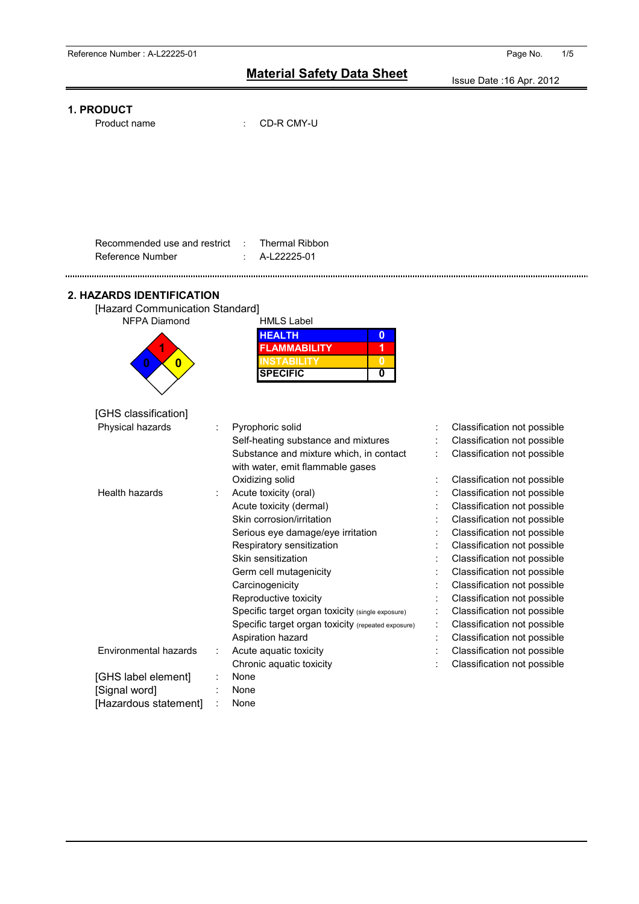Issue Date :16 Apr. 2012



Product name : CD-R CMY-U

| Recommended use and restrict | : Thermal Ribbon |
|------------------------------|------------------|
| Reference Number             | A-L22225-01      |

#### **2. HAZARDS IDENTIFICATION**

| [Hazard Communication Standard] |                     |  |
|---------------------------------|---------------------|--|
| <b>NFPA Diamond</b>             | <b>HMLS Label</b>   |  |
|                                 | <b>HEALTH</b>       |  |
|                                 | <b>FLAMMABILITY</b> |  |
|                                 | STARII ITY          |  |
|                                 | <b>SPECIFIC</b>     |  |
|                                 |                     |  |

| Pyrophoric solid                                                            |                                                    | Classification not possible |
|-----------------------------------------------------------------------------|----------------------------------------------------|-----------------------------|
| Self-heating substance and mixtures                                         |                                                    | Classification not possible |
| Substance and mixture which, in contact<br>with water, emit flammable gases |                                                    | Classification not possible |
| Oxidizing solid                                                             |                                                    | Classification not possible |
| Acute toxicity (oral)                                                       |                                                    | Classification not possible |
| Acute toxicity (dermal)                                                     |                                                    | Classification not possible |
| Skin corrosion/irritation                                                   |                                                    | Classification not possible |
| Serious eye damage/eye irritation                                           |                                                    | Classification not possible |
| Respiratory sensitization                                                   |                                                    | Classification not possible |
| Skin sensitization                                                          |                                                    | Classification not possible |
| Germ cell mutagenicity                                                      |                                                    | Classification not possible |
| Carcinogenicity                                                             |                                                    | Classification not possible |
| Reproductive toxicity                                                       |                                                    | Classification not possible |
| Specific target organ toxicity (single exposure)                            |                                                    | Classification not possible |
|                                                                             |                                                    | Classification not possible |
| Aspiration hazard                                                           |                                                    | Classification not possible |
| Acute aguatic toxicity                                                      |                                                    | Classification not possible |
| Chronic aquatic toxicity                                                    |                                                    | Classification not possible |
| None                                                                        |                                                    |                             |
| None                                                                        |                                                    |                             |
| None                                                                        |                                                    |                             |
|                                                                             | Specific target organ toxicity (repeated exposure) |                             |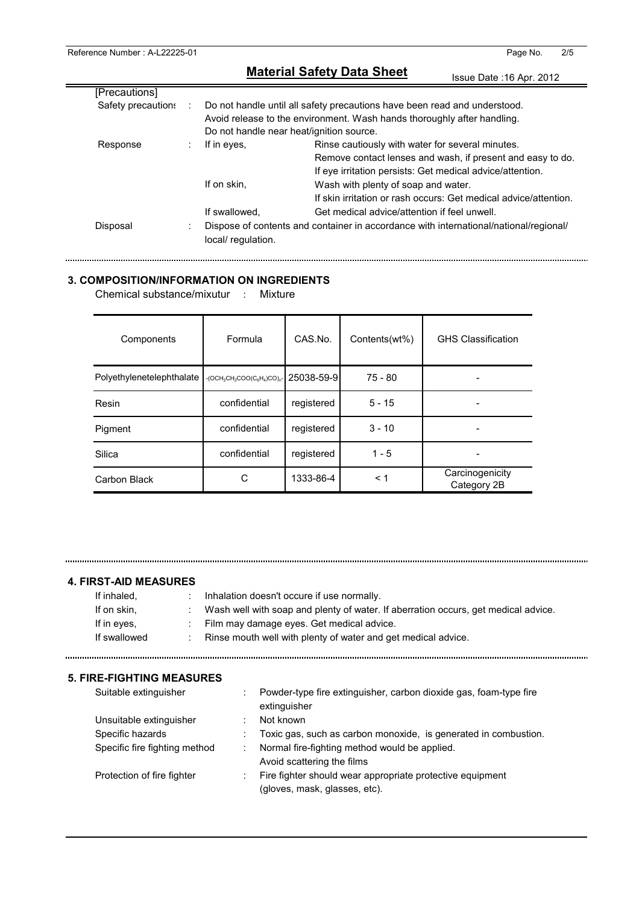|                    |                              | Issue Date: 16 Apr. 2012                                                                                                                                                    |
|--------------------|------------------------------|-----------------------------------------------------------------------------------------------------------------------------------------------------------------------------|
| [Precautions]      |                              |                                                                                                                                                                             |
| Safety precautions |                              | Do not handle until all safety precautions have been read and understood.<br>Avoid release to the environment. Wash hands thoroughly after handling.                        |
|                    |                              | Do not handle near heat/ignition source.                                                                                                                                    |
| Response           | If in eyes,<br>÷             | Rinse cautiously with water for several minutes.<br>Remove contact lenses and wash, if present and easy to do.<br>If eye irritation persists: Get medical advice/attention. |
|                    | If on skin,<br>If swallowed. | Wash with plenty of soap and water.<br>If skin irritation or rash occurs: Get medical advice/attention.<br>Get medical advice/attention if feel unwell.                     |
| Disposal           | local/regulation.            | Dispose of contents and container in accordance with international/national/regional/                                                                                       |

## **3. COMPOSITION/INFORMATION ON INGREDIENTS**

Chemical substance/mixutur : Mixture

| Components                | Formula                                      | CAS.No.    | Contents(wt%) | <b>GHS Classification</b>      |
|---------------------------|----------------------------------------------|------------|---------------|--------------------------------|
| Polyethylenetelephthalate | $-(OCH_2CH_2COO(C_6H_4)CO)_{0}$ - 25038-59-9 |            | $75 - 80$     |                                |
| Resin                     | confidential                                 | registered | $5 - 15$      |                                |
| Pigment                   | confidential                                 | registered | $3 - 10$      |                                |
| Silica                    | confidential                                 | registered | $1 - 5$       |                                |
| Carbon Black              | С                                            | 1333-86-4  | < 1           | Carcinogenicity<br>Category 2B |

#### **4. FIRST-AID MEASURES**

| If inhaled.  | Inhalation doesn't occure if use normally.                                         |
|--------------|------------------------------------------------------------------------------------|
| If on skin.  | Wash well with soap and plenty of water. If aberration occurs, get medical advice. |
| If in eves,  | : Film may damage eyes. Get medical advice.                                        |
| If swallowed | Rinse mouth well with plenty of water and get medical advice.                      |

#### **5. FIRE-FIGHTING MEASURES**

| Suitable extinguisher         | Powder-type fire extinguisher, carbon dioxide gas, foam-type fire<br>extinguisher          |
|-------------------------------|--------------------------------------------------------------------------------------------|
| Unsuitable extinguisher       | Not known                                                                                  |
| Specific hazards              | Toxic gas, such as carbon monoxide, is generated in combustion.                            |
| Specific fire fighting method | Normal fire-fighting method would be applied.<br>Avoid scattering the films                |
| Protection of fire fighter    | Fire fighter should wear appropriate protective equipment<br>(gloves, mask, glasses, etc). |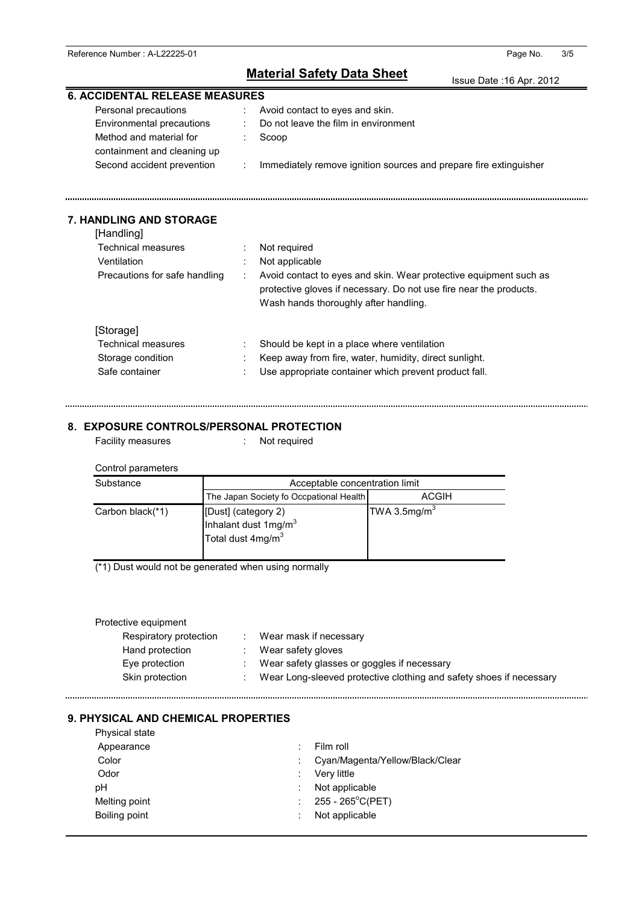Issue Date :16 Apr. 2012

| <b>6. ACCIDENTAL RELEASE MEASURES</b>   |                               |                                                                    |
|-----------------------------------------|-------------------------------|--------------------------------------------------------------------|
| Personal precautions                    | $\mathcal{I}^{\mathcal{A}}$ . | Avoid contact to eyes and skin.                                    |
| Environmental precautions               |                               | Do not leave the film in environment                               |
| Method and material for                 |                               | Scoop                                                              |
| containment and cleaning up             |                               |                                                                    |
| Second accident prevention              |                               | Immediately remove ignition sources and prepare fire extinguisher  |
|                                         |                               |                                                                    |
| <b>7. HANDLING AND STORAGE</b>          |                               |                                                                    |
| [Handling]<br><b>Technical measures</b> |                               |                                                                    |
| Ventilation                             |                               | Not required                                                       |
|                                         |                               | Not applicable                                                     |
| Precautions for safe handling           |                               | Avoid contact to eyes and skin. Wear protective equipment such as  |
|                                         |                               | protective gloves if necessary. Do not use fire near the products. |
|                                         |                               | Wash hands thoroughly after handling.                              |
| [Storage]                               |                               |                                                                    |
| <b>Technical measures</b>               |                               | Should be kept in a place where ventilation                        |
| Storage condition                       |                               | Keep away from fire, water, humidity, direct sunlight.             |
| Safe container                          |                               | Use appropriate container which prevent product fall.              |
|                                         |                               |                                                                    |
|                                         |                               |                                                                    |

#### **8**. **EXPOSURE CONTROLS/PERSONAL PROTECTION**

Facility measures : Not required

| Control parameters |                                                                                          |                          |  |  |  |
|--------------------|------------------------------------------------------------------------------------------|--------------------------|--|--|--|
| Substance          | Acceptable concentration limit                                                           |                          |  |  |  |
|                    | The Japan Society fo Occpational Health                                                  | <b>ACGIH</b>             |  |  |  |
| Carbon black(*1)   | [Dust] (category 2)<br>Inhalant dust 1mg/m <sup>3</sup><br>Total dust 4mg/m <sup>3</sup> | TWA 3.5mg/m <sup>3</sup> |  |  |  |

(\*1) Dust would not be generated when using normally

#### Protective equipment

| Respiratory protection | Wear mask if necessary                                              |
|------------------------|---------------------------------------------------------------------|
| Hand protection        | Wear safety gloves                                                  |
| Eve protection         | Wear safety glasses or goggles if necessary                         |
| Skin protection        | Wear Long-sleeved protective clothing and safety shoes if necessary |

## **9. PHYSICAL AND CHEMICAL PROPERTIES**

| Physical state |                                 |
|----------------|---------------------------------|
| Appearance     | Film roll                       |
| Color          | Cyan/Magenta/Yellow/Black/Clear |
| Odor           | Very little                     |
| рH             | Not applicable                  |
| Melting point  | : $255 - 265^{\circ}C(PET)$     |
| Boiling point  | Not applicable                  |
|                |                                 |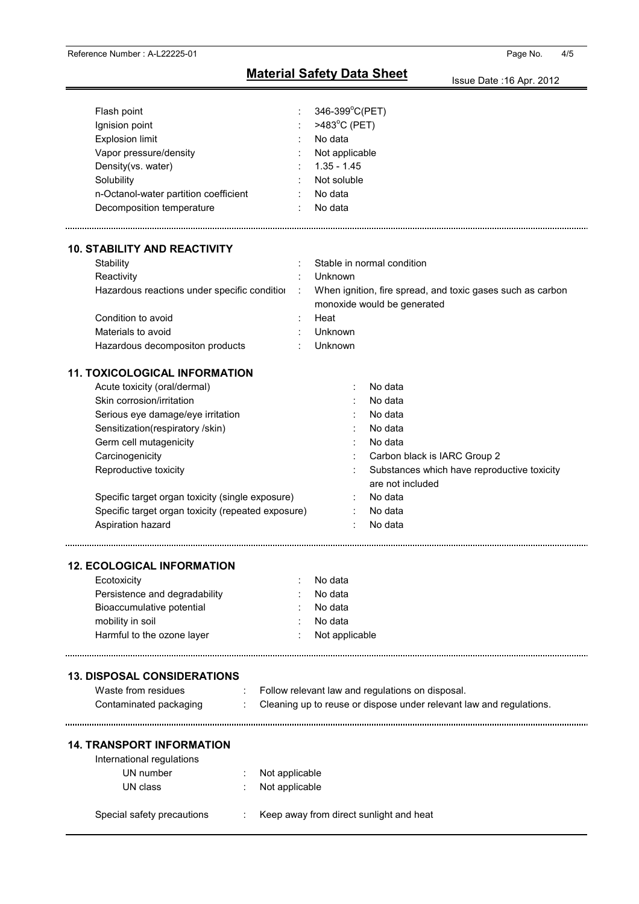| Flash point                                        | 346-399°C(PET)                                                                            |
|----------------------------------------------------|-------------------------------------------------------------------------------------------|
| Ignision point                                     | >483°C (PET)                                                                              |
| <b>Explosion limit</b>                             | No data                                                                                   |
| Vapor pressure/density                             | Not applicable                                                                            |
| Density(vs. water)                                 | $1.35 - 1.45$                                                                             |
| Solubility                                         | Not soluble                                                                               |
| n-Octanol-water partition coefficient              | No data                                                                                   |
| Decomposition temperature                          | No data                                                                                   |
|                                                    |                                                                                           |
| <b>10. STABILITY AND REACTIVITY</b>                |                                                                                           |
| Stability                                          | Stable in normal condition                                                                |
| Reactivity                                         | Unknown                                                                                   |
| Hazardous reactions under specific condition       | When ignition, fire spread, and toxic gases such as carbon<br>monoxide would be generated |
| Condition to avoid                                 | Heat                                                                                      |
| Materials to avoid                                 | Unknown                                                                                   |
| Hazardous decompositon products                    | Unknown                                                                                   |
| <b>11. TOXICOLOGICAL INFORMATION</b>               |                                                                                           |
| Acute toxicity (oral/dermal)                       | No data                                                                                   |
| Skin corrosion/irritation                          | No data                                                                                   |
| Serious eye damage/eye irritation                  | No data                                                                                   |
| Sensitization(respiratory /skin)                   | No data                                                                                   |
| Germ cell mutagenicity                             | No data                                                                                   |
| Carcinogenicity                                    | Carbon black is IARC Group 2                                                              |
| Reproductive toxicity                              | Substances which have reproductive toxicity                                               |
|                                                    | are not included                                                                          |
| Specific target organ toxicity (single exposure)   | No data                                                                                   |
| Specific target organ toxicity (repeated exposure) | No data                                                                                   |
| Aspiration hazard                                  | No data                                                                                   |
|                                                    |                                                                                           |
| <b>12. ECOLOGICAL INFORMATION</b>                  |                                                                                           |
| Ecotoxicity                                        | No data                                                                                   |
| Persistence and degradability                      | No data                                                                                   |
| Bioaccumulative potential                          | No data                                                                                   |
| mobility in soil                                   | No data                                                                                   |
| Harmful to the ozone layer                         | Not applicable                                                                            |
|                                                    |                                                                                           |
| <b>13. DISPOSAL CONSIDERATIONS</b>                 |                                                                                           |
| Waste from residues                                | Follow relevant law and regulations on disposal.                                          |
| Contaminated packaging                             | Cleaning up to reuse or dispose under relevant law and regulations.                       |
| <b>14. TRANSPORT INFORMATION</b>                   |                                                                                           |
| International regulations                          |                                                                                           |
| UN number<br>Not applicable                        |                                                                                           |
| UN class<br>Not applicable                         |                                                                                           |
|                                                    |                                                                                           |
| Special safety precautions                         | Keep away from direct sunlight and heat                                                   |